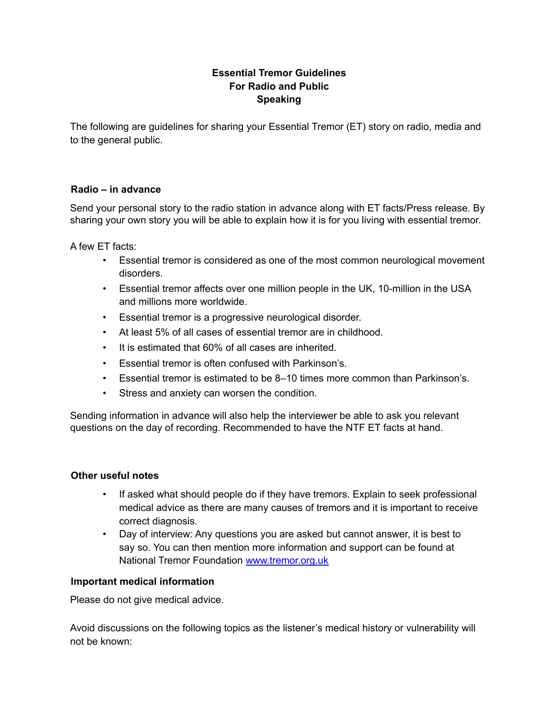# **Essential Tremor Guidelines For Radio and Public Speaking**

The following are guidelines for sharing your Essential Tremor (ET) story on radio, media and to the general public.

### **Radio – in advance**

Send your personal story to the radio station in advance along with ET facts/Press release. By sharing your own story you will be able to explain how it is for you living with essential tremor.

A few ET facts:

- Essential tremor is considered as one of the most common neurological movement disorders.
- Essential tremor affects over one million people in the UK, 10-million in the USA and millions more worldwide.
- Essential tremor is a progressive neurological disorder.
- At least 5% of all cases of essential tremor are in childhood.
- It is estimated that 60% of all cases are inherited.
- Essential tremor is often confused with Parkinson's.
- Essential tremor is estimated to be 8–10 times more common than Parkinson's.
- Stress and anxiety can worsen the condition.

Sending information in advance will also help the interviewer be able to ask you relevant questions on the day of recording. Recommended to have the NTF ET facts at hand.

#### **Other useful notes**

- If asked what should people do if they have tremors. Explain to seek professional medical advice as there are many causes of tremors and it is important to receive correct diagnosis.
- Day of interview: Any questions you are asked but cannot answer, it is best to say so. You can then mention more information and support can be found at National Tremor Foundation [www.tremor.org.uk](http://www.tremor.org.uk/)

### **Important medical information**

Please do not give medical advice.

Avoid discussions on the following topics as the listener's medical history or vulnerability will not be known: